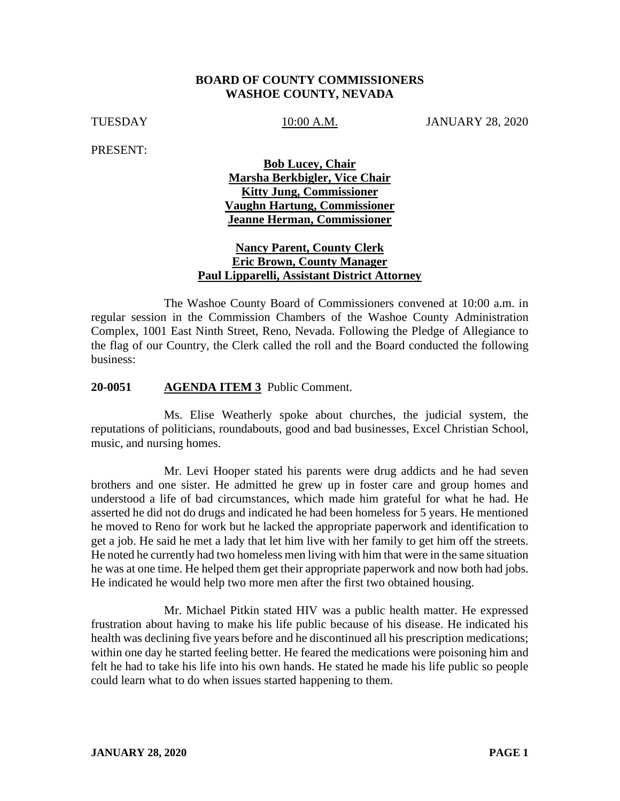### **BOARD OF COUNTY COMMISSIONERS WASHOE COUNTY, NEVADA**

TUESDAY 10:00 A.M. JANUARY 28, 2020

PRESENT:

## **Bob Lucey, Chair Marsha Berkbigler, Vice Chair Kitty Jung, Commissioner Vaughn Hartung, Commissioner Jeanne Herman, Commissioner**

## **Nancy Parent, County Clerk Eric Brown, County Manager Paul Lipparelli, Assistant District Attorney**

The Washoe County Board of Commissioners convened at 10:00 a.m. in regular session in the Commission Chambers of the Washoe County Administration Complex, 1001 East Ninth Street, Reno, Nevada. Following the Pledge of Allegiance to the flag of our Country, the Clerk called the roll and the Board conducted the following business:

#### **20-0051 AGENDA ITEM 3** Public Comment.

Ms. Elise Weatherly spoke about churches, the judicial system, the reputations of politicians, roundabouts, good and bad businesses, Excel Christian School, music, and nursing homes.

Mr. Levi Hooper stated his parents were drug addicts and he had seven brothers and one sister. He admitted he grew up in foster care and group homes and understood a life of bad circumstances, which made him grateful for what he had. He asserted he did not do drugs and indicated he had been homeless for 5 years. He mentioned he moved to Reno for work but he lacked the appropriate paperwork and identification to get a job. He said he met a lady that let him live with her family to get him off the streets. He noted he currently had two homeless men living with him that were in the same situation he was at one time. He helped them get their appropriate paperwork and now both had jobs. He indicated he would help two more men after the first two obtained housing.

Mr. Michael Pitkin stated HIV was a public health matter. He expressed frustration about having to make his life public because of his disease. He indicated his health was declining five years before and he discontinued all his prescription medications; within one day he started feeling better. He feared the medications were poisoning him and felt he had to take his life into his own hands. He stated he made his life public so people could learn what to do when issues started happening to them.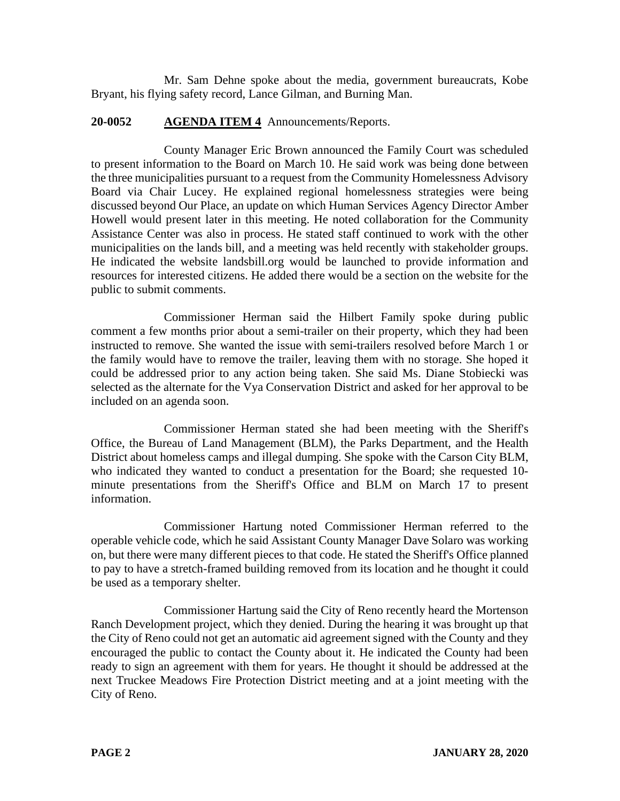Mr. Sam Dehne spoke about the media, government bureaucrats, Kobe Bryant, his flying safety record, Lance Gilman, and Burning Man.

### **20-0052 AGENDA ITEM 4** Announcements/Reports.

County Manager Eric Brown announced the Family Court was scheduled to present information to the Board on March 10. He said work was being done between the three municipalities pursuant to a request from the Community Homelessness Advisory Board via Chair Lucey. He explained regional homelessness strategies were being discussed beyond Our Place, an update on which Human Services Agency Director Amber Howell would present later in this meeting. He noted collaboration for the Community Assistance Center was also in process. He stated staff continued to work with the other municipalities on the lands bill, and a meeting was held recently with stakeholder groups. He indicated the website landsbill.org would be launched to provide information and resources for interested citizens. He added there would be a section on the website for the public to submit comments.

Commissioner Herman said the Hilbert Family spoke during public comment a few months prior about a semi-trailer on their property, which they had been instructed to remove. She wanted the issue with semi-trailers resolved before March 1 or the family would have to remove the trailer, leaving them with no storage. She hoped it could be addressed prior to any action being taken. She said Ms. Diane Stobiecki was selected as the alternate for the Vya Conservation District and asked for her approval to be included on an agenda soon.

Commissioner Herman stated she had been meeting with the Sheriff's Office, the Bureau of Land Management (BLM), the Parks Department, and the Health District about homeless camps and illegal dumping. She spoke with the Carson City BLM, who indicated they wanted to conduct a presentation for the Board; she requested 10 minute presentations from the Sheriff's Office and BLM on March 17 to present information.

Commissioner Hartung noted Commissioner Herman referred to the operable vehicle code, which he said Assistant County Manager Dave Solaro was working on, but there were many different pieces to that code. He stated the Sheriff's Office planned to pay to have a stretch-framed building removed from its location and he thought it could be used as a temporary shelter.

Commissioner Hartung said the City of Reno recently heard the Mortenson Ranch Development project, which they denied. During the hearing it was brought up that the City of Reno could not get an automatic aid agreement signed with the County and they encouraged the public to contact the County about it. He indicated the County had been ready to sign an agreement with them for years. He thought it should be addressed at the next Truckee Meadows Fire Protection District meeting and at a joint meeting with the City of Reno.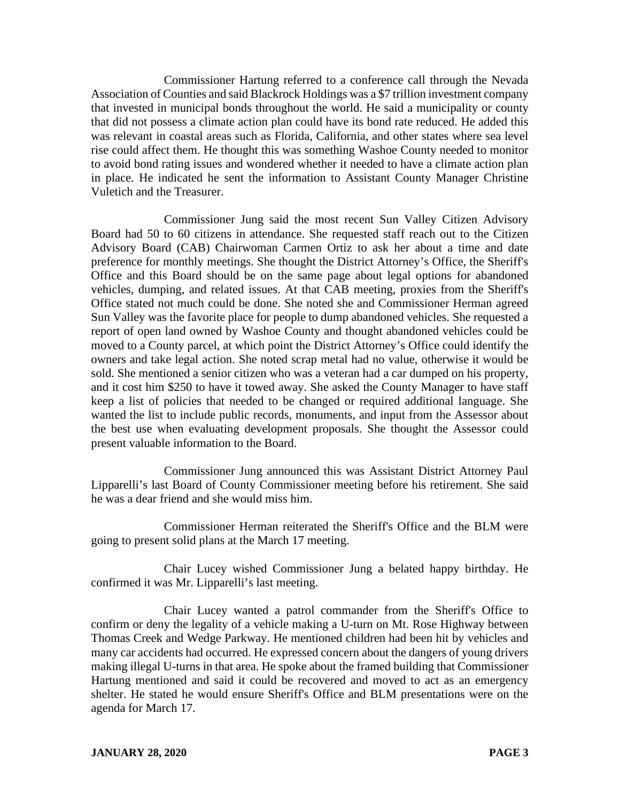Commissioner Hartung referred to a conference call through the Nevada Association of Counties and said Blackrock Holdings was a \$7 trillion investment company that invested in municipal bonds throughout the world. He said a municipality or county that did not possess a climate action plan could have its bond rate reduced. He added this was relevant in coastal areas such as Florida, California, and other states where sea level rise could affect them. He thought this was something Washoe County needed to monitor to avoid bond rating issues and wondered whether it needed to have a climate action plan in place. He indicated he sent the information to Assistant County Manager Christine Vuletich and the Treasurer.

Commissioner Jung said the most recent Sun Valley Citizen Advisory Board had 50 to 60 citizens in attendance. She requested staff reach out to the Citizen Advisory Board (CAB) Chairwoman Carmen Ortiz to ask her about a time and date preference for monthly meetings. She thought the District Attorney's Office, the Sheriff's Office and this Board should be on the same page about legal options for abandoned vehicles, dumping, and related issues. At that CAB meeting, proxies from the Sheriff's Office stated not much could be done. She noted she and Commissioner Herman agreed Sun Valley was the favorite place for people to dump abandoned vehicles. She requested a report of open land owned by Washoe County and thought abandoned vehicles could be moved to a County parcel, at which point the District Attorney's Office could identify the owners and take legal action. She noted scrap metal had no value, otherwise it would be sold. She mentioned a senior citizen who was a veteran had a car dumped on his property, and it cost him \$250 to have it towed away. She asked the County Manager to have staff keep a list of policies that needed to be changed or required additional language. She wanted the list to include public records, monuments, and input from the Assessor about the best use when evaluating development proposals. She thought the Assessor could present valuable information to the Board.

Commissioner Jung announced this was Assistant District Attorney Paul Lipparelli's last Board of County Commissioner meeting before his retirement. She said he was a dear friend and she would miss him.

Commissioner Herman reiterated the Sheriff's Office and the BLM were going to present solid plans at the March 17 meeting.

Chair Lucey wished Commissioner Jung a belated happy birthday. He confirmed it was Mr. Lipparelli's last meeting.

Chair Lucey wanted a patrol commander from the Sheriff's Office to confirm or deny the legality of a vehicle making a U-turn on Mt. Rose Highway between Thomas Creek and Wedge Parkway. He mentioned children had been hit by vehicles and many car accidents had occurred. He expressed concern about the dangers of young drivers making illegal U-turns in that area. He spoke about the framed building that Commissioner Hartung mentioned and said it could be recovered and moved to act as an emergency shelter. He stated he would ensure Sheriff's Office and BLM presentations were on the agenda for March 17.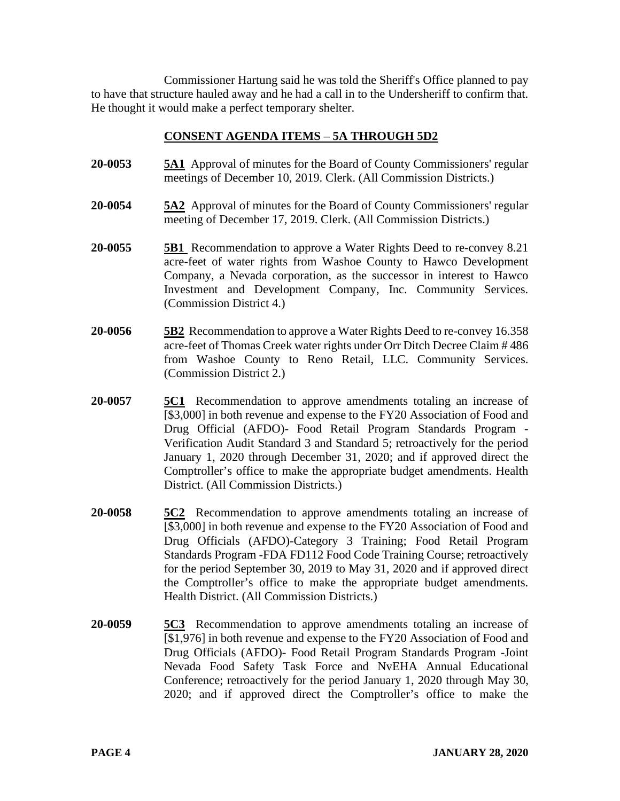Commissioner Hartung said he was told the Sheriff's Office planned to pay to have that structure hauled away and he had a call in to the Undersheriff to confirm that. He thought it would make a perfect temporary shelter.

## **CONSENT AGENDA ITEMS** – **5A THROUGH 5D2**

- **20-0053 5A1** Approval of minutes for the Board of County Commissioners' regular meetings of December 10, 2019. Clerk. (All Commission Districts.)
- **20-0054 5A2** Approval of minutes for the Board of County Commissioners' regular meeting of December 17, 2019. Clerk. (All Commission Districts.)
- **20-0055 5B1** Recommendation to approve a Water Rights Deed to re-convey 8.21 acre-feet of water rights from Washoe County to Hawco Development Company, a Nevada corporation, as the successor in interest to Hawco Investment and Development Company, Inc. Community Services. (Commission District 4.)
- **20-0056 5B2** Recommendation to approve a Water Rights Deed to re-convey 16.358 acre-feet of Thomas Creek water rights under Orr Ditch Decree Claim # 486 from Washoe County to Reno Retail, LLC. Community Services. (Commission District 2.)
- **20-0057 5C1** Recommendation to approve amendments totaling an increase of [\$3,000] in both revenue and expense to the FY20 Association of Food and Drug Official (AFDO)- Food Retail Program Standards Program - Verification Audit Standard 3 and Standard 5; retroactively for the period January 1, 2020 through December 31, 2020; and if approved direct the Comptroller's office to make the appropriate budget amendments. Health District. (All Commission Districts.)
- **20-0058 5C2** Recommendation to approve amendments totaling an increase of [\$3,000] in both revenue and expense to the FY20 Association of Food and Drug Officials (AFDO)-Category 3 Training; Food Retail Program Standards Program -FDA FD112 Food Code Training Course; retroactively for the period September 30, 2019 to May 31, 2020 and if approved direct the Comptroller's office to make the appropriate budget amendments. Health District. (All Commission Districts.)
- **20-0059 5C3** Recommendation to approve amendments totaling an increase of [\$1,976] in both revenue and expense to the FY20 Association of Food and Drug Officials (AFDO)- Food Retail Program Standards Program -Joint Nevada Food Safety Task Force and NvEHA Annual Educational Conference; retroactively for the period January 1, 2020 through May 30, 2020; and if approved direct the Comptroller's office to make the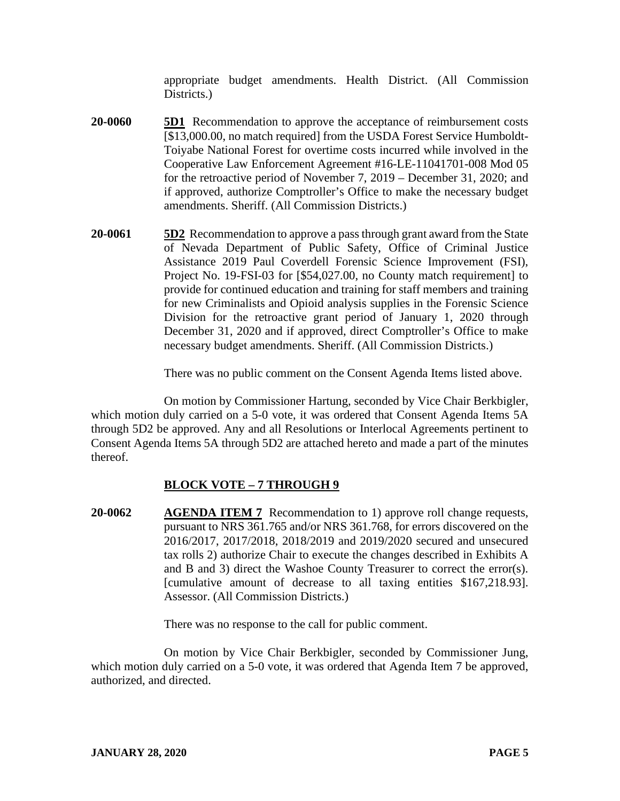appropriate budget amendments. Health District. (All Commission Districts.

- **20-0060 5D1** Recommendation to approve the acceptance of reimbursement costs [\$13,000.00, no match required] from the USDA Forest Service Humboldt-Toiyabe National Forest for overtime costs incurred while involved in the Cooperative Law Enforcement Agreement #16-LE-11041701-008 Mod 05 for the retroactive period of November 7, 2019 – December 31, 2020; and if approved, authorize Comptroller's Office to make the necessary budget amendments. Sheriff. (All Commission Districts.)
- **20-0061 5D2** Recommendation to approve a pass through grant award from the State of Nevada Department of Public Safety, Office of Criminal Justice Assistance 2019 Paul Coverdell Forensic Science Improvement (FSI), Project No. 19-FSI-03 for [\$54,027.00, no County match requirement] to provide for continued education and training for staff members and training for new Criminalists and Opioid analysis supplies in the Forensic Science Division for the retroactive grant period of January 1, 2020 through December 31, 2020 and if approved, direct Comptroller's Office to make necessary budget amendments. Sheriff. (All Commission Districts.)

There was no public comment on the Consent Agenda Items listed above.

On motion by Commissioner Hartung, seconded by Vice Chair Berkbigler, which motion duly carried on a 5-0 vote, it was ordered that Consent Agenda Items 5A through 5D2 be approved. Any and all Resolutions or Interlocal Agreements pertinent to Consent Agenda Items 5A through 5D2 are attached hereto and made a part of the minutes thereof.

# **BLOCK VOTE – 7 THROUGH 9**

**20-0062 AGENDA ITEM 7** Recommendation to 1) approve roll change requests, pursuant to NRS 361.765 and/or NRS 361.768, for errors discovered on the 2016/2017, 2017/2018, 2018/2019 and 2019/2020 secured and unsecured tax rolls 2) authorize Chair to execute the changes described in Exhibits A and B and 3) direct the Washoe County Treasurer to correct the error(s). [cumulative amount of decrease to all taxing entities \$167,218.93]. Assessor. (All Commission Districts.)

There was no response to the call for public comment.

On motion by Vice Chair Berkbigler, seconded by Commissioner Jung, which motion duly carried on a 5-0 vote, it was ordered that Agenda Item 7 be approved, authorized, and directed.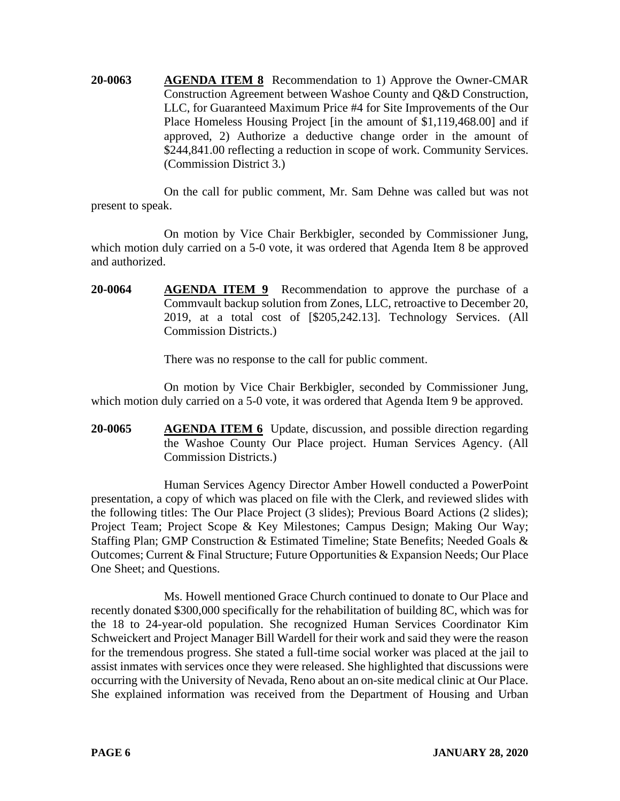**20-0063 AGENDA ITEM 8** Recommendation to 1) Approve the Owner-CMAR Construction Agreement between Washoe County and Q&D Construction, LLC, for Guaranteed Maximum Price #4 for Site Improvements of the Our Place Homeless Housing Project [in the amount of \$1,119,468.00] and if approved, 2) Authorize a deductive change order in the amount of \$244,841.00 reflecting a reduction in scope of work. Community Services. (Commission District 3.)

On the call for public comment, Mr. Sam Dehne was called but was not present to speak.

On motion by Vice Chair Berkbigler, seconded by Commissioner Jung, which motion duly carried on a 5-0 vote, it was ordered that Agenda Item 8 be approved and authorized.

**20-0064 AGENDA ITEM 9** Recommendation to approve the purchase of a Commvault backup solution from Zones, LLC, retroactive to December 20, 2019, at a total cost of [\$205,242.13]. Technology Services. (All Commission Districts.)

There was no response to the call for public comment.

On motion by Vice Chair Berkbigler, seconded by Commissioner Jung, which motion duly carried on a 5-0 vote, it was ordered that Agenda Item 9 be approved.

**20-0065 AGENDA ITEM 6** Update, discussion, and possible direction regarding the Washoe County Our Place project. Human Services Agency. (All Commission Districts.)

Human Services Agency Director Amber Howell conducted a PowerPoint presentation, a copy of which was placed on file with the Clerk, and reviewed slides with the following titles: The Our Place Project (3 slides); Previous Board Actions (2 slides); Project Team; Project Scope & Key Milestones; Campus Design; Making Our Way; Staffing Plan; GMP Construction & Estimated Timeline; State Benefits; Needed Goals & Outcomes; Current & Final Structure; Future Opportunities & Expansion Needs; Our Place One Sheet; and Questions.

Ms. Howell mentioned Grace Church continued to donate to Our Place and recently donated \$300,000 specifically for the rehabilitation of building 8C, which was for the 18 to 24-year-old population. She recognized Human Services Coordinator Kim Schweickert and Project Manager Bill Wardell for their work and said they were the reason for the tremendous progress. She stated a full-time social worker was placed at the jail to assist inmates with services once they were released. She highlighted that discussions were occurring with the University of Nevada, Reno about an on-site medical clinic at Our Place. She explained information was received from the Department of Housing and Urban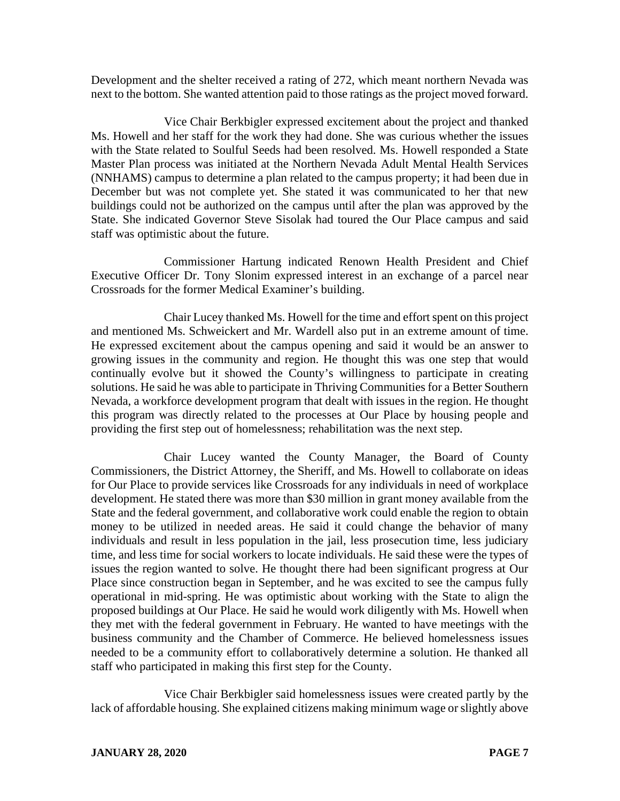Development and the shelter received a rating of 272, which meant northern Nevada was next to the bottom. She wanted attention paid to those ratings as the project moved forward.

Vice Chair Berkbigler expressed excitement about the project and thanked Ms. Howell and her staff for the work they had done. She was curious whether the issues with the State related to Soulful Seeds had been resolved. Ms. Howell responded a State Master Plan process was initiated at the Northern Nevada Adult Mental Health Services (NNHAMS) campus to determine a plan related to the campus property; it had been due in December but was not complete yet. She stated it was communicated to her that new buildings could not be authorized on the campus until after the plan was approved by the State. She indicated Governor Steve Sisolak had toured the Our Place campus and said staff was optimistic about the future.

Commissioner Hartung indicated Renown Health President and Chief Executive Officer Dr. Tony Slonim expressed interest in an exchange of a parcel near Crossroads for the former Medical Examiner's building.

Chair Lucey thanked Ms. Howell for the time and effort spent on this project and mentioned Ms. Schweickert and Mr. Wardell also put in an extreme amount of time. He expressed excitement about the campus opening and said it would be an answer to growing issues in the community and region. He thought this was one step that would continually evolve but it showed the County's willingness to participate in creating solutions. He said he was able to participate in Thriving Communities for a Better Southern Nevada, a workforce development program that dealt with issues in the region. He thought this program was directly related to the processes at Our Place by housing people and providing the first step out of homelessness; rehabilitation was the next step.

Chair Lucey wanted the County Manager, the Board of County Commissioners, the District Attorney, the Sheriff, and Ms. Howell to collaborate on ideas for Our Place to provide services like Crossroads for any individuals in need of workplace development. He stated there was more than \$30 million in grant money available from the State and the federal government, and collaborative work could enable the region to obtain money to be utilized in needed areas. He said it could change the behavior of many individuals and result in less population in the jail, less prosecution time, less judiciary time, and less time for social workers to locate individuals. He said these were the types of issues the region wanted to solve. He thought there had been significant progress at Our Place since construction began in September, and he was excited to see the campus fully operational in mid-spring. He was optimistic about working with the State to align the proposed buildings at Our Place. He said he would work diligently with Ms. Howell when they met with the federal government in February. He wanted to have meetings with the business community and the Chamber of Commerce. He believed homelessness issues needed to be a community effort to collaboratively determine a solution. He thanked all staff who participated in making this first step for the County.

Vice Chair Berkbigler said homelessness issues were created partly by the lack of affordable housing. She explained citizens making minimum wage or slightly above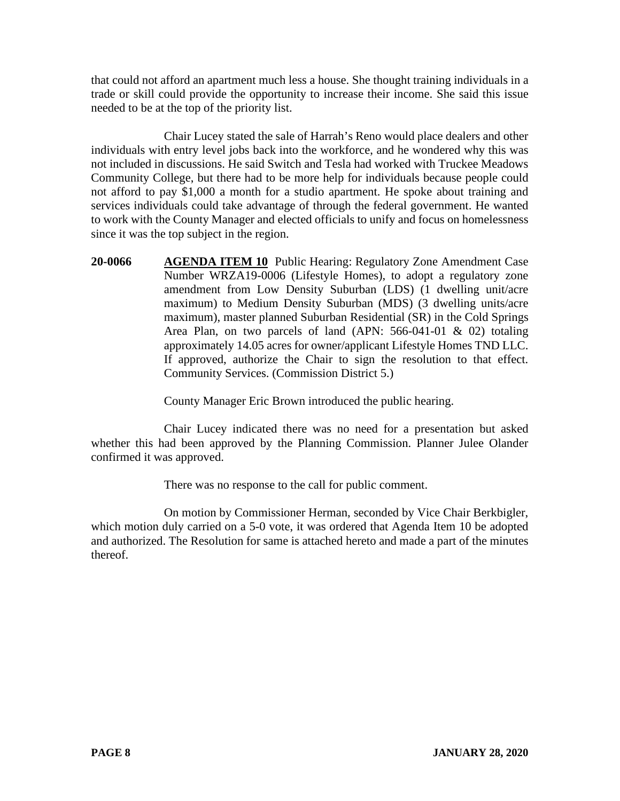that could not afford an apartment much less a house. She thought training individuals in a trade or skill could provide the opportunity to increase their income. She said this issue needed to be at the top of the priority list.

Chair Lucey stated the sale of Harrah's Reno would place dealers and other individuals with entry level jobs back into the workforce, and he wondered why this was not included in discussions. He said Switch and Tesla had worked with Truckee Meadows Community College, but there had to be more help for individuals because people could not afford to pay \$1,000 a month for a studio apartment. He spoke about training and services individuals could take advantage of through the federal government. He wanted to work with the County Manager and elected officials to unify and focus on homelessness since it was the top subject in the region.

**20-0066 AGENDA ITEM 10** Public Hearing: Regulatory Zone Amendment Case Number WRZA19-0006 (Lifestyle Homes), to adopt a regulatory zone amendment from Low Density Suburban (LDS) (1 dwelling unit/acre maximum) to Medium Density Suburban (MDS) (3 dwelling units/acre maximum), master planned Suburban Residential (SR) in the Cold Springs Area Plan, on two parcels of land (APN: 566-041-01 & 02) totaling approximately 14.05 acres for owner/applicant Lifestyle Homes TND LLC. If approved, authorize the Chair to sign the resolution to that effect. Community Services. (Commission District 5.)

County Manager Eric Brown introduced the public hearing.

Chair Lucey indicated there was no need for a presentation but asked whether this had been approved by the Planning Commission. Planner Julee Olander confirmed it was approved.

There was no response to the call for public comment.

On motion by Commissioner Herman, seconded by Vice Chair Berkbigler, which motion duly carried on a 5-0 vote, it was ordered that Agenda Item 10 be adopted and authorized. The Resolution for same is attached hereto and made a part of the minutes thereof.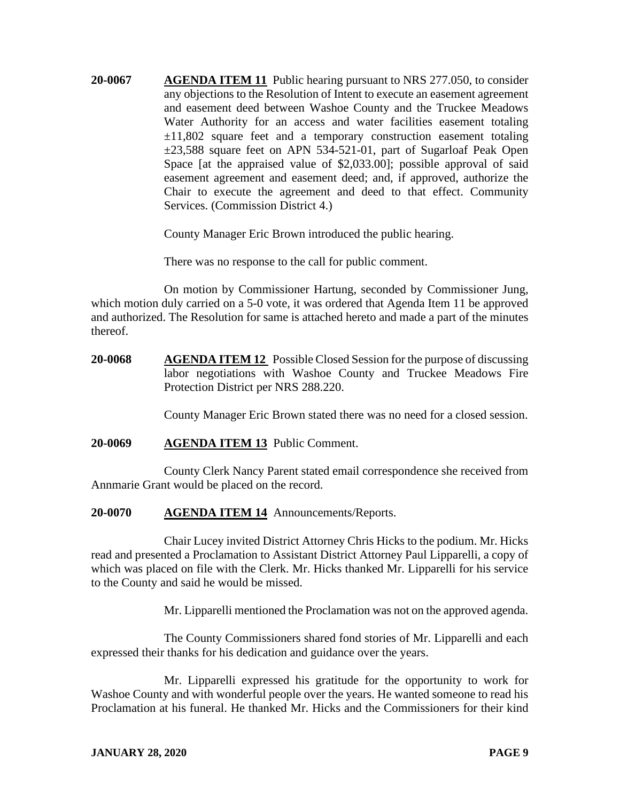**20-0067 AGENDA ITEM 11** Public hearing pursuant to NRS 277.050, to consider any objections to the Resolution of Intent to execute an easement agreement and easement deed between Washoe County and the Truckee Meadows Water Authority for an access and water facilities easement totaling  $\pm 11,802$  square feet and a temporary construction easement totaling ±23,588 square feet on APN 534-521-01, part of Sugarloaf Peak Open Space [at the appraised value of \$2,033.00]; possible approval of said easement agreement and easement deed; and, if approved, authorize the Chair to execute the agreement and deed to that effect. Community Services. (Commission District 4.)

County Manager Eric Brown introduced the public hearing.

There was no response to the call for public comment.

On motion by Commissioner Hartung, seconded by Commissioner Jung, which motion duly carried on a 5-0 vote, it was ordered that Agenda Item 11 be approved and authorized. The Resolution for same is attached hereto and made a part of the minutes thereof.

**20-0068 AGENDA ITEM 12** Possible Closed Session for the purpose of discussing labor negotiations with Washoe County and Truckee Meadows Fire Protection District per NRS 288.220.

County Manager Eric Brown stated there was no need for a closed session.

**20-0069 AGENDA ITEM 13** Public Comment.

County Clerk Nancy Parent stated email correspondence she received from Annmarie Grant would be placed on the record.

**20-0070 AGENDA ITEM 14** Announcements/Reports.

Chair Lucey invited District Attorney Chris Hicks to the podium. Mr. Hicks read and presented a Proclamation to Assistant District Attorney Paul Lipparelli, a copy of which was placed on file with the Clerk. Mr. Hicks thanked Mr. Lipparelli for his service to the County and said he would be missed.

Mr. Lipparelli mentioned the Proclamation was not on the approved agenda.

The County Commissioners shared fond stories of Mr. Lipparelli and each expressed their thanks for his dedication and guidance over the years.

Mr. Lipparelli expressed his gratitude for the opportunity to work for Washoe County and with wonderful people over the years. He wanted someone to read his Proclamation at his funeral. He thanked Mr. Hicks and the Commissioners for their kind